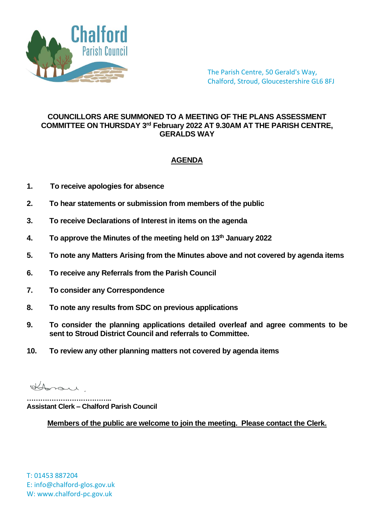

The Parish Centre, 50 Gerald's Way, Chalford, Stroud, Gloucestershire GL6 8FJ

## **COUNCILLORS ARE SUMMONED TO A MEETING OF THE PLANS ASSESSMENT COMMITTEE ON THURSDAY 3 rd February 2022 AT 9.30AM AT THE PARISH CENTRE, GERALDS WAY**

## **AGENDA**

- **1. To receive apologies for absence**
- **2. To hear statements or submission from members of the public**
- **3. To receive Declarations of Interest in items on the agenda**
- **4. To approve the Minutes of the meeting held on 13th January 2022**
- **5. To note any Matters Arising from the Minutes above and not covered by agenda items**
- **6. To receive any Referrals from the Parish Council**
- **7. To consider any Correspondence**
- **8. To note any results from SDC on previous applications**
- **9. To consider the planning applications detailed overleaf and agree comments to be sent to Stroud District Council and referrals to Committee.**
- **10. To review any other planning matters not covered by agenda items**

Horan

**……………………………….. Assistant Clerk – Chalford Parish Council**

**Members of the public are welcome to join the meeting. Please contact the Clerk.**

T: 01453 887204 E: info@chalford-glos.gov.uk W: www.chalford-pc.gov.uk